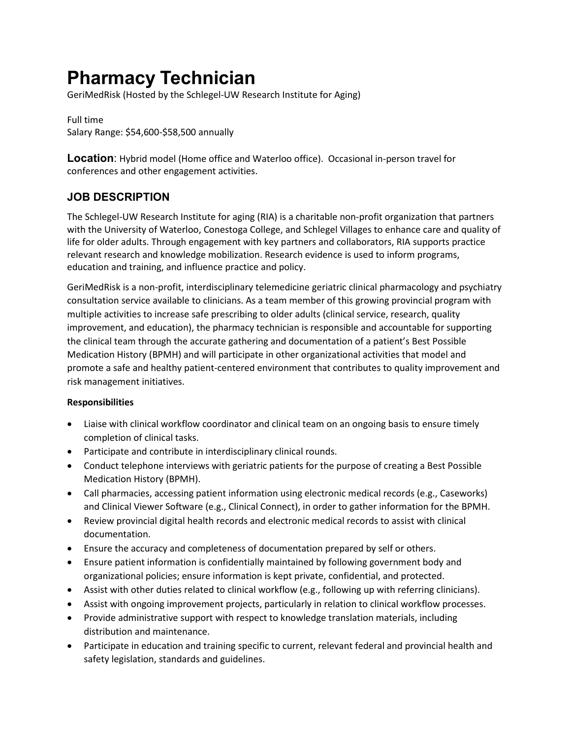# **Pharmacy Technician**

GeriMedRisk (Hosted by the Schlegel-UW Research Institute for Aging)

Full time Salary Range: \$54,600-\$58,500 annually

**Location**: Hybrid model (Home office and Waterloo office). Occasional in-person travel for conferences and other engagement activities.

# **JOB DESCRIPTION**

The Schlegel-UW Research Institute for aging (RIA) is a charitable non-profit organization that partners with the University of Waterloo, Conestoga College, and Schlegel Villages to enhance care and quality of life for older adults. Through engagement with key partners and collaborators, RIA supports practice relevant research and knowledge mobilization. Research evidence is used to inform programs, education and training, and influence practice and policy.

GeriMedRisk is a non-profit, interdisciplinary telemedicine geriatric clinical pharmacology and psychiatry consultation service available to clinicians. As a team member of this growing provincial program with multiple activities to increase safe prescribing to older adults (clinical service, research, quality improvement, and education), the pharmacy technician is responsible and accountable for supporting the clinical team through the accurate gathering and documentation of a patient's Best Possible Medication History (BPMH) and will participate in other organizational activities that model and promote a safe and healthy patient-centered environment that contributes to quality improvement and risk management initiatives.

#### **Responsibilities**

- Liaise with clinical workflow coordinator and clinical team on an ongoing basis to ensure timely completion of clinical tasks.
- Participate and contribute in interdisciplinary clinical rounds.
- Conduct telephone interviews with geriatric patients for the purpose of creating a Best Possible Medication History (BPMH).
- Call pharmacies, accessing patient information using electronic medical records (e.g., Caseworks) and Clinical Viewer Software (e.g., Clinical Connect), in order to gather information for the BPMH.
- Review provincial digital health records and electronic medical records to assist with clinical documentation.
- Ensure the accuracy and completeness of documentation prepared by self or others.
- Ensure patient information is confidentially maintained by following government body and organizational policies; ensure information is kept private, confidential, and protected.
- Assist with other duties related to clinical workflow (e.g., following up with referring clinicians).
- Assist with ongoing improvement projects, particularly in relation to clinical workflow processes.
- Provide administrative support with respect to knowledge translation materials, including distribution and maintenance.
- Participate in education and training specific to current, relevant federal and provincial health and safety legislation, standards and guidelines.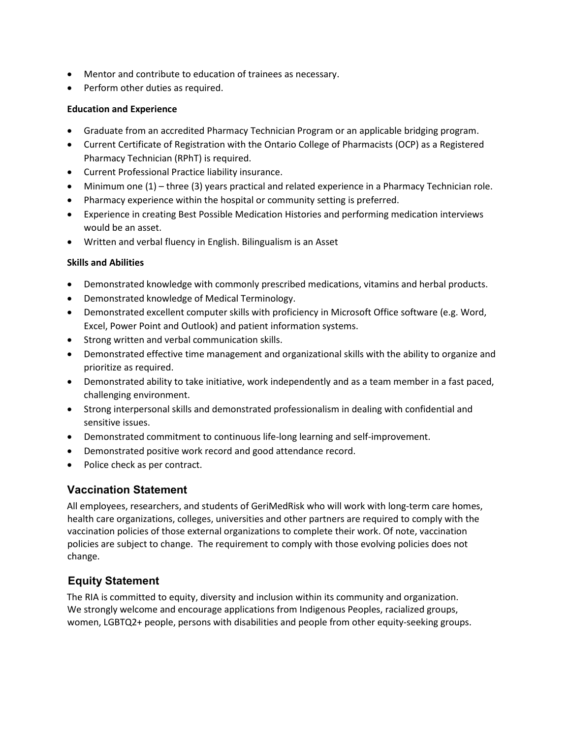- Mentor and contribute to education of trainees as necessary.
- Perform other duties as required.

#### **Education and Experience**

- Graduate from an accredited Pharmacy Technician Program or an applicable bridging program.
- Current Certificate of Registration with the Ontario College of Pharmacists (OCP) as a Registered Pharmacy Technician (RPhT) is required.
- Current Professional Practice liability insurance.
- Minimum one (1) three (3) years practical and related experience in a Pharmacy Technician role.
- Pharmacy experience within the hospital or community setting is preferred.
- Experience in creating Best Possible Medication Histories and performing medication interviews would be an asset.
- Written and verbal fluency in English. Bilingualism is an Asset

#### **Skills and Abilities**

- Demonstrated knowledge with commonly prescribed medications, vitamins and herbal products.
- Demonstrated knowledge of Medical Terminology.
- Demonstrated excellent computer skills with proficiency in Microsoft Office software (e.g. Word, Excel, Power Point and Outlook) and patient information systems.
- Strong written and verbal communication skills.
- Demonstrated effective time management and organizational skills with the ability to organize and prioritize as required.
- Demonstrated ability to take initiative, work independently and as a team member in a fast paced, challenging environment.
- Strong interpersonal skills and demonstrated professionalism in dealing with confidential and sensitive issues.
- Demonstrated commitment to continuous life-long learning and self-improvement.
- Demonstrated positive work record and good attendance record.
- Police check as per contract.

## **Vaccination Statement**

All employees, researchers, and students of GeriMedRisk who will work with long-term care homes, health care organizations, colleges, universities and other partners are required to comply with the vaccination policies of those external organizations to complete their work. Of note, vaccination policies are subject to change. The requirement to comply with those evolving policies does not change.

## **Equity Statement**

The RIA is committed to equity, diversity and inclusion within its community and organization. We strongly welcome and encourage applications from Indigenous Peoples, racialized groups, women, LGBTQ2+ people, persons with disabilities and people from other equity-seeking groups.